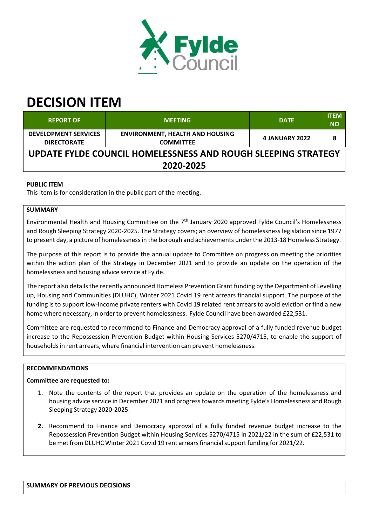

# **DECISION ITEM**

| <b>REPORT OF</b>                                              | <b>MEETING</b>                                             | <b>DATE</b>           | <b>ITEM</b><br><b>NO</b> |  |  |
|---------------------------------------------------------------|------------------------------------------------------------|-----------------------|--------------------------|--|--|
| <b>DEVELOPMENT SERVICES</b><br><b>DIRECTORATE</b>             | <b>ENVIRONMENT, HEALTH AND HOUSING</b><br><b>COMMITTEE</b> | <b>4 JANUARY 2022</b> | 8                        |  |  |
| UPDATE FYLDE COUNCIL HOMELESSNESS AND ROUGH SLEEPING STRATEGY |                                                            |                       |                          |  |  |
| 2020-2025                                                     |                                                            |                       |                          |  |  |

## **PUBLIC ITEM**

This item is for consideration in the public part of the meeting.

## **SUMMARY**

Environmental Health and Housing Committee on the 7<sup>th</sup> January 2020 approved Fylde Council's Homelessness and Rough Sleeping Strategy 2020‐2025. The Strategy covers; an overview of homelessness legislation since 1977 to present day, a picture of homelessnessin the borough and achievements underthe 2013‐18 Homeless Strategy.

The purpose of this report is to provide the annual update to Committee on progress on meeting the priorities within the action plan of the Strategy in December 2021 and to provide an update on the operation of the homelessness and housing advice service at Fylde.

The report also details the recently announced Homeless Prevention Grant funding by the Department of Levelling up, Housing and Communities (DLUHC), Winter 2021 Covid 19 rent arrears financial support. The purpose of the funding is to support low-income private renters with Covid 19 related rent arrears to avoid eviction or find a new home where necessary, in order to prevent homelessness. Fylde Council have been awarded £22,531.

Committee are requested to recommend to Finance and Democracy approval of a fully funded revenue budget increase to the Repossession Prevention Budget within Housing Services 5270/4715, to enable the support of householdsin rent arrears, where financial intervention can prevent homelessness.

## **RECOMMENDATIONS**

## **Committee are requested to:**

- 1. Note the contents of the report that provides an update on the operation of the homelessness and housing advice service in December 2021 and progresstowards meeting Fylde's Homelessness and Rough Sleeping Strategy 2020‐2025.
- **2.** Recommend to Finance and Democracy approval of a fully funded revenue budget increase to the Repossession Prevention Budget within Housing Services 5270/4715 in 2021/22 in the sum of £22,531 to be met from DLUHC Winter 2021 Covid 19 rent arrearsfinancialsupport funding for 2021/22.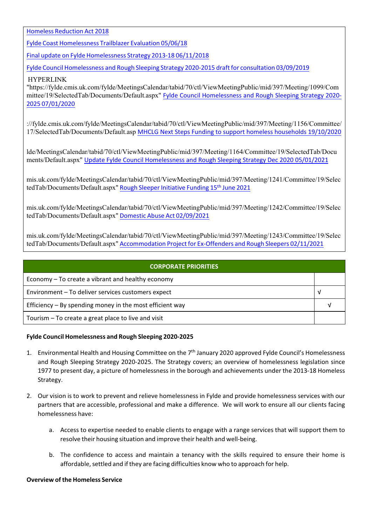Homeless Reduction Act 2018

Fylde Coast Homelessness Trailblazer Evaluation 05/06/18

Final update on Fylde Homelessness Strategy 2013‐18 06/11/2018

Fylde Council Homelessness and Rough Sleeping Strategy 2020‐2015 draft for consultation 03/09/2019

#### HYPERLINK

"https://fylde.cmis.uk.com/fylde/MeetingsCalendar/tabid/70/ctl/ViewMeetingPublic/mid/397/Meeting/1099/Com mittee/19/SelectedTab/Documents/Default.aspx" Fylde Council Homelessness and Rough Sleeping Strategy 2020‐ 2025 07/01/2020

://fylde.cmis.uk.com/fylde/MeetingsCalendar/tabid/70/ctl/ViewMeetingPublic/mid/397/Meeting/1156/Committee/ 17/SelectedTab/Documents/Default.asp MHCLG Next Steps Funding to support homeless households 19/10/2020

lde/MeetingsCalendar/tabid/70/ctl/ViewMeetingPublic/mid/397/Meeting/1164/Committee/19/SelectedTab/Docu ments/Default.aspx" Update Fylde Council Homelessness and Rough Sleeping Strategy Dec 2020 05/01/2021

mis.uk.com/fylde/MeetingsCalendar/tabid/70/ctl/ViewMeetingPublic/mid/397/Meeting/1241/Committee/19/Selec tedTab/Documents/Default.aspx" <mark>Rough Sleeper Initiative Funding 15<sup>th</sup> June 2021</mark>

mis.uk.com/fylde/MeetingsCalendar/tabid/70/ctl/ViewMeetingPublic/mid/397/Meeting/1242/Committee/19/Selec tedTab/Documents/Default.aspx" Domestic Abuse Act 02/09/2021

mis.uk.com/fylde/MeetingsCalendar/tabid/70/ctl/ViewMeetingPublic/mid/397/Meeting/1243/Committee/19/Selec tedTab/Documents/Default.aspx" Accommodation Project for Ex‐Offenders and Rough Sleepers 02/11/2021

| <b>CORPORATE PRIORITIES</b>                                |  |  |
|------------------------------------------------------------|--|--|
| Economy – To create a vibrant and healthy economy          |  |  |
| Environment - To deliver services customers expect         |  |  |
| Efficiency $-$ By spending money in the most efficient way |  |  |
| Tourism – To create a great place to live and visit        |  |  |

#### **Fylde Council Homelessness and Rough Sleeping 2020‐2025**

- 1. Environmental Health and Housing Committee on the 7<sup>th</sup> January 2020 approved Fylde Council's Homelessness and Rough Sleeping Strategy 2020‐2025. The Strategy covers; an overview of homelessness legislation since 1977 to present day, a picture of homelessness in the borough and achievements under the 2013‐18 Homeless Strategy.
- 2. Our vision is to work to prevent and relieve homelessness in Fylde and provide homelessness services with our partners that are accessible, professional and make a difference. We will work to ensure all our clients facing homelessness have:
	- a. Access to expertise needed to enable clients to engage with a range services that will support them to resolve their housing situation and improve their health and well‐being.
	- b. The confidence to access and maintain a tenancy with the skills required to ensure their home is affordable, settled and if they are facing difficulties know who to approach for help.

#### **Overview ofthe Homeless Service**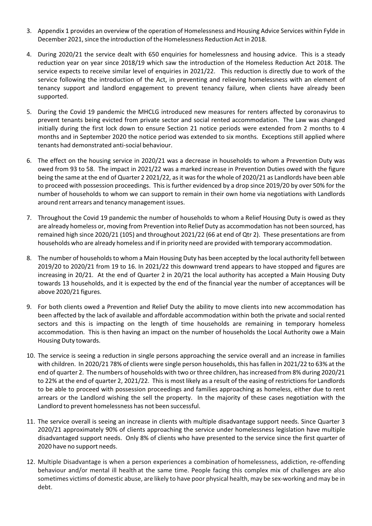- 3. Appendix 1 provides an overview of the operation of Homelessness and Housing Advice Services within Fylde in December 2021, since the introduction of the Homelessness Reduction Act in 2018.
- 4. During 2020/21 the service dealt with 650 enquiries for homelessness and housing advice. This is a steady reduction year on year since 2018/19 which saw the introduction of the Homeless Reduction Act 2018. The service expects to receive similar level of enquiries in 2021/22. This reduction is directly due to work of the service following the introduction of the Act, in preventing and relieving homelessness with an element of tenancy support and landlord engagement to prevent tenancy failure, when clients have already been supported.
- 5. During the Covid 19 pandemic the MHCLG introduced new measures for renters affected by coronavirus to prevent tenants being evicted from private sector and social rented accommodation. The Law was changed initially during the first lock down to ensure Section 21 notice periods were extended from 2 months to 4 months and in September 2020 the notice period was extended to six months. Exceptions still applied where tenants had demonstrated anti‐social behaviour.
- 6. The effect on the housing service in 2020/21 was a decrease in households to whom a Prevention Duty was owed from 93 to 58. The impact in 2021/22 was a marked increase in Prevention Duties owed with the figure being the same at the end of Quarter 2 2021/22, as it was for the whole of 2020/21 as Landlords have been able to proceed with possession proceedings. This is further evidenced by a drop since 2019/20 by over 50% for the number of households to whom we can support to remain in their own home via negotiations with Landlords around rent arrears and tenancy management issues.
- 7. Throughout the Covid 19 pandemic the number of households to whom a Relief Housing Duty is owed as they are already homeless or, moving from Prevention into Relief Duty as accommodation has not been sourced, has remained high since 2020/21 (105) and throughout 2021/22 (66 at end of Qtr 2). These presentations are from households who are already homeless and if in priority need are provided with temporary accommodation.
- 8. The number of households to whom a Main Housing Duty has been accepted by the local authority fell between 2019/20 to 2020/21 from 19 to 16. In 2021/22 this downward trend appears to have stopped and figures are increasing in 20/21. At the end of Quarter 2 in 20/21 the local authority has accepted a Main Housing Duty towards 13 households, and it is expected by the end of the financial year the number of acceptances will be above 2020/21 figures.
- 9. For both clients owed a Prevention and Relief Duty the ability to move clients into new accommodation has been affected by the lack of available and affordable accommodation within both the private and social rented sectors and this is impacting on the length of time households are remaining in temporary homeless accommodation. This is then having an impact on the number of households the Local Authority owe a Main Housing Duty towards.
- 10. The service is seeing a reduction in single persons approaching the service overall and an increase in families with children. In 2020/21 78% of clients were single person households, this has fallen in 2021/22 to 63% at the end of quarter 2. The numbers of households with two or three children, has increased from 8% during 2020/21 to 22% at the end of quarter 2, 2021/22. This is most likely as a result of the easing of restrictions for Landlords to be able to proceed with possession proceedings and families approaching as homeless, either due to rent arrears or the Landlord wishing the sell the property. In the majority of these cases negotiation with the Landlord to prevent homelessness has not been successful.
- 11. The service overall is seeing an increase in clients with multiple disadvantage support needs. Since Quarter 3 2020/21 approximately 90% of clients approaching the service under homelessness legislation have multiple disadvantaged support needs. Only 8% of clients who have presented to the service since the first quarter of 2020 have no support needs.
- 12. Multiple Disadvantage is when a person experiences a combination of homelessness, addiction, re‐offending behaviour and/or mental ill health at the same time. People facing this complex mix of challenges are also sometimes victims of domestic abuse, are likely to have poor physical health, may be sex-working and may be in debt.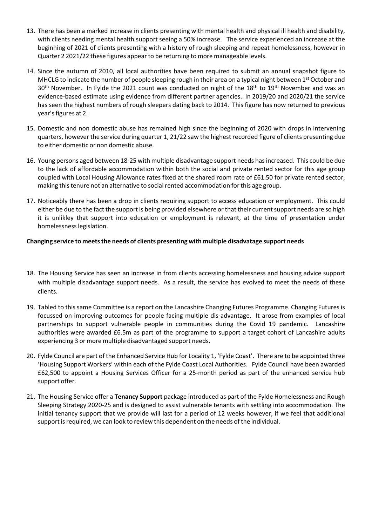- 13. There has been a marked increase in clients presenting with mental health and physical ill health and disability, with clients needing mental health support seeing a 50% increase. The service experienced an increase at the beginning of 2021 of clients presenting with a history of rough sleeping and repeat homelessness, however in Quarter 2 2021/22 these figures appear to be returning to more manageable levels.
- 14. Since the autumn of 2010, all local authorities have been required to submit an annual snapshot figure to MHCLG to indicate the number of people sleeping rough in their area on a typical night between 1<sup>st</sup> October and 30<sup>th</sup> November. In Fylde the 2021 count was conducted on night of the 18<sup>th</sup> to 19<sup>th</sup> November and was an evidence‐based estimate using evidence from different partner agencies. In 2019/20 and 2020/21 the service has seen the highest numbers of rough sleepers dating back to 2014. This figure has now returned to previous year's figures at 2.
- 15. Domestic and non domestic abuse has remained high since the beginning of 2020 with drops in intervening quarters, however the service during quarter 1, 21/22 saw the highest recorded figure of clients presenting due to either domestic or non domestic abuse.
- 16. Young persons aged between 18‐25 with multiple disadvantage support needs hasincreased. This could be due to the lack of affordable accommodation within both the social and private rented sector for this age group coupled with Local Housing Allowance rates fixed at the shared room rate of £61.50 for private rented sector, making thistenure not an alternative to socialrented accommodation forthis age group.
- 17. Noticeably there has been a drop in clients requiring support to access education or employment. This could either be due to the fact the support is being provided elsewhere or that their current support needs are so high it is unlikley that support into education or employment is relevant, at the time of presentation under homelessnesslegislation.

#### **Changing service to meetsthe needs of clients presenting with multiple disadvatage support needs**

- 18. The Housing Service has seen an increase in from clients accessing homelessness and housing advice support with multiple disadvantage support needs. As a result, the service has evolved to meet the needs of these clients.
- 19. Tabled to thissame Committee is a report on the Lancashire Changing Futures Programme. Changing Futuresis focussed on improving outcomes for people facing multiple dis‐advantage. It arose from examples of local partnerships to support vulnerable people in communities during the Covid 19 pandemic. Lancashire authorities were awarded £6.5m as part of the programme to support a target cohort of Lancashire adults experiencing 3 or more multiple disadvantaged support needs.
- 20. Fylde Council are part of the Enhanced Service Hub for Locality 1, 'Fylde Coast'. There are to be appointed three 'Housing Support Workers' within each of the Fylde Coast Local Authorities. Fylde Council have been awarded £62,500 to appoint a Housing Services Officer for a 25‐month period as part of the enhanced service hub support offer.
- 21. The Housing Service offer a **Tenancy Support** package introduced as part of the Fylde Homelessness and Rough Sleeping Strategy 2020‐25 and is designed to assist vulnerable tenants with settling into accommodation. The initial tenancy support that we provide will last for a period of 12 weeks however, if we feel that additional support is required, we can look to review this dependent on the needs of the individual.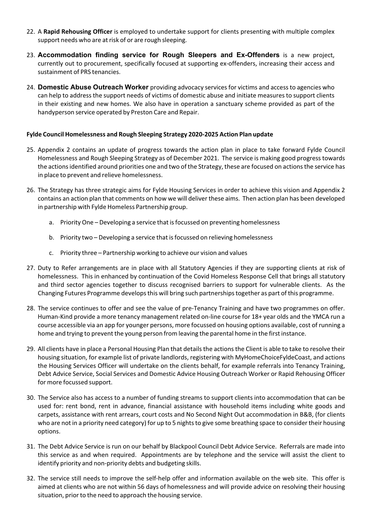- 22. A **Rapid Rehousing Officer** is employed to undertake support for clients presenting with multiple complex support needs who are at risk of or are rough sleeping.
- 23. **Accommodation finding service for Rough Sleepers and ExOffenders** is a new project, currently out to procurement, specifically focused at supporting ex-offenders, increasing their access and sustainment of PRS tenancies.
- 24. **Domestic Abuse Outreach Worker** providing advocacy servicesfor victims and accessto agencies who can help to address the support needs of victims of domestic abuse and initiate measures to support clients in their existing and new homes. We also have in operation a sanctuary scheme provided as part of the handyperson service operated by Preston Care and Repair.

#### **Fylde Council Homelessness and Rough Sleeping Strategy 2020‐2025 Action Plan update**

- 25. Appendix 2 contains an update of progress towards the action plan in place to take forward Fylde Council Homelessness and Rough Sleeping Strategy as of December 2021. The service is making good progresstowards the actions identified around priorities one and two of the Strategy, these are focused on actions the service has in place to prevent and relieve homelessness.
- 26. The Strategy has three strategic aims for Fylde Housing Services in order to achieve this vision and Appendix 2 contains an action plan that comments on how we will deliver these aims. Then action plan has been developed in partnership with Fylde Homeless Partnership group.
	- a. Priority One Developing a service that is focussed on preventing homelessness
	- b. Priority two Developing a service that isfocussed on relieving homelessness
	- c. Priority three Partnership working to achieve our vision and values
- 27. Duty to Refer arrangements are in place with all Statutory Agencies if they are supporting clients at risk of homelessness. This in enhanced by continuation of the Covid Homeless Response Cell that brings all statutory and third sector agencies together to discuss recognised barriers to support for vulnerable clients. As the Changing Futures Programme developsthis will bring such partnershipstogether as part of this programme.
- 28. The service continues to offer and see the value of pre‐Tenancy Training and have two programmes on offer. Human‐Kind provide a more tenancy management related on‐line course for 18+ year olds and the YMCA run a course accessible via an app for younger persons, more focussed on housing options available, cost of running a home and trying to prevent the young person from leaving the parental home in the first instance.
- 29. All clients have in place a Personal Housing Plan that details the actions the Client is able to take to resolve their housing situation, for example list of private landlords, registering with MyHomeChoiceFyldeCoast, and actions the Housing Services Officer will undertake on the clients behalf, for example referrals into Tenancy Training, Debt Advice Service, Social Services and Domestic Advice Housing Outreach Worker or Rapid Rehousing Officer for more focussed support.
- 30. The Service also has access to a number of funding streams to support clients into accommodation that can be used for: rent bond, rent in advance, financial assistance with household items including white goods and carpets, assistance with rent arrears, court costs and No Second Night Out accommodation in B&B, (for clients who are not in a priority need category) for up to 5 nights to give some breathing space to consider their housing options.
- 31. The Debt Advice Service is run on our behalf by Blackpool Council Debt Advice Service. Referrals are made into this service as and when required. Appointments are by telephone and the service will assist the client to identify priority and non-priority debts and budgeting skills.
- 32. The service still needs to improve the self-help offer and information available on the web site. This offer is aimed at clients who are not within 56 days of homelessness and will provide advice on resolving their housing situation, prior to the need to approach the housing service.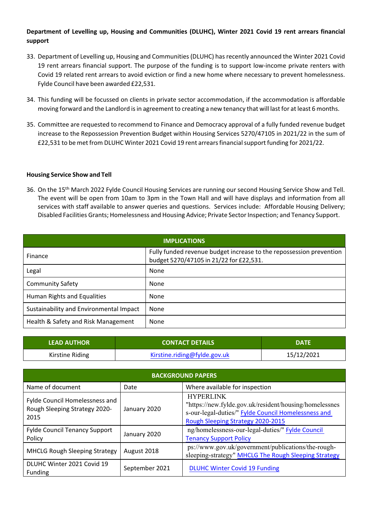## **Department of Levelling up, Housing and Communities (DLUHC), Winter 2021 Covid 19 rent arrears financial support**

- 33. Department of Levelling up, Housing and Communities(DLUHC) hasrecently announced the Winter 2021 Covid 19 rent arrears financial support. The purpose of the funding is to support low-income private renters with Covid 19 related rent arrears to avoid eviction or find a new home where necessary to prevent homelessness. Fylde Council have been awarded £22,531.
- 34. This funding will be focussed on clients in private sector accommodation, if the accommodation is affordable moving forward and the Landlord isin agreement to creating a new tenancy that will last for at least 6 months.
- 35. Committee are requested to recommend to Finance and Democracy approval of a fully funded revenue budget increase to the Repossession Prevention Budget within Housing Services 5270/47105 in 2021/22 in the sum of £22,531 to be met from DLUHC Winter 2021 Covid 19 rent arrearsfinancialsupport funding for 2021/22.

#### **Housing Service Show and Tell**

36. On the 15<sup>th</sup> March 2022 Fylde Council Housing Services are running our second Housing Service Show and Tell. The event will be open from 10am to 3pm in the Town Hall and will have displays and information from all services with staff available to answer queries and questions. Services include: Affordable Housing Delivery; Disabled Facilities Grants; Homelessness and Housing Advice; Private Sector Inspection; and Tenancy Support.

| <b>IMPLICATIONS</b>                     |                                                                                                                |  |  |  |
|-----------------------------------------|----------------------------------------------------------------------------------------------------------------|--|--|--|
| Finance                                 | Fully funded revenue budget increase to the repossession prevention<br>budget 5270/47105 in 21/22 for £22,531. |  |  |  |
| Legal                                   | None                                                                                                           |  |  |  |
| <b>Community Safety</b>                 | None                                                                                                           |  |  |  |
| Human Rights and Equalities             | None                                                                                                           |  |  |  |
| Sustainability and Environmental Impact | None                                                                                                           |  |  |  |
| Health & Safety and Risk Management     | None                                                                                                           |  |  |  |

| <b>LEAD AUTHOR</b> | <b>CONTACT DETAILS</b>       | <b>DATE</b> |
|--------------------|------------------------------|-------------|
| Kirstine Riding    | Kirstine.riding@fylde.gov.uk | 15/12/2021  |

| <b>BACKGROUND PAPERS</b>                                                       |                |                                                                                                                                                                        |  |  |
|--------------------------------------------------------------------------------|----------------|------------------------------------------------------------------------------------------------------------------------------------------------------------------------|--|--|
| Name of document                                                               | Date           | Where available for inspection                                                                                                                                         |  |  |
| <b>Fylde Council Homelessness and</b><br>Rough Sleeping Strategy 2020-<br>2015 | January 2020   | <b>HYPERLINK</b><br>"https://new.fylde.gov.uk/resident/housing/homelessnes<br>s-our-legal-duties/" Fylde Council Homelessness and<br>Rough Sleeping Strategy 2020-2015 |  |  |
| <b>Fylde Council Tenancy Support</b><br>Policy                                 | January 2020   | ng/homelessness-our-legal-duties/" Fylde Council<br><b>Tenancy Support Policy</b>                                                                                      |  |  |
| <b>MHCLG Rough Sleeping Strategy</b>                                           | August 2018    | ps://www.gov.uk/government/publications/the-rough-<br>sleeping-strategy" MHCLG The Rough Sleeping Strategy                                                             |  |  |
| DLUHC Winter 2021 Covid 19<br>Funding                                          | September 2021 | <b>DLUHC Winter Covid 19 Funding</b>                                                                                                                                   |  |  |